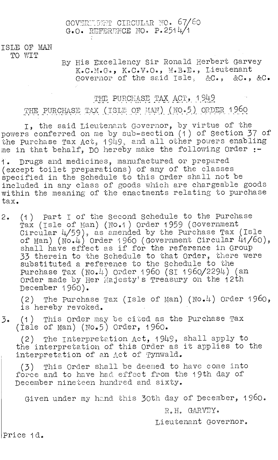#### GOVERNIENT CIRCULAR NO. 67/60 G.O. REFERENCE NO. P.2514/1

#### ISLE OF MAN TO WIT

## By His Excellency Sir Ronald Herbert Garvey K.C.M.G., K.C.V.O., M.B.E., Lieutenant Governor of the said Isle, &C., &C., &C.

# THE PURCHASE TAX ACT, 1949

THE PURCHASE TAX (ISLE OF MAN) (NO.5) ORDER 1960

I, the said Lieutenant Governor, by virtue of the powers conferred on me by sub-section (1) of Section 37 of the purchase Tax Act, 1949, and all other powers enabling me in that behalf, DO hereby make the following Order :-

1. Drugs and medicines, manufactured or prepared (except toilet preparations) of any of the classes specified in the Schedule to this Order shall not be included in any class of goods which are chargeable goods within the meaning of the enactments relating to purchase tax.

2. (1) Part I of the Second Schedule to the Purchase Tax (Isle of man) (N0.1) Order 1959 (Government Circular 4/59), as amended by the Purchase Tax (Isle of Man) (No.4) Order 1 960 (Government Circular 41/60), shall have effect as if for the reference in Group 33 therein to the Schedule to that Order, there were substituted a reference to the Schedule to the Purchase Tax (No.4) Order 1960 (SI 1960/2294) (an Order made by Her Majesty's Treasury on the 12th December 1960).

(2) The purchase Tax (Isle of Man) (No.4) Order 1960, is hereby revoked.

3. (1) This Order may be cited as the purchase Tax (Isle of man) (No.5) Order, 1960.

(2) The Interpretation Act, 1949, shall apply to the interpretation of this Order as it applies to the interpretation of an Act of Tynwald.

(3) This Order shall be deemed to have come into force and to have had effect from the 19th day of December nineteen hundred and sixty.

Given under my hand this 30th day of December, 1960.

R.H. GARVEY.

Lieutenant Governor.

price 1d.